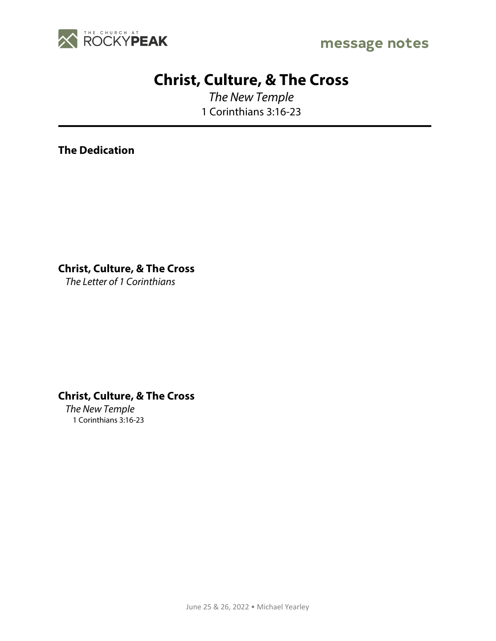

# **Christ, Culture, & The Cross**

*The New Temple* 1 Corinthians 3:16-23

**The Dedication**

**Christ, Culture, & The Cross**

*The Letter of 1 Corinthians*

## **Christ, Culture, & The Cross**

*The New Temple* 1 Corinthians 3:16-23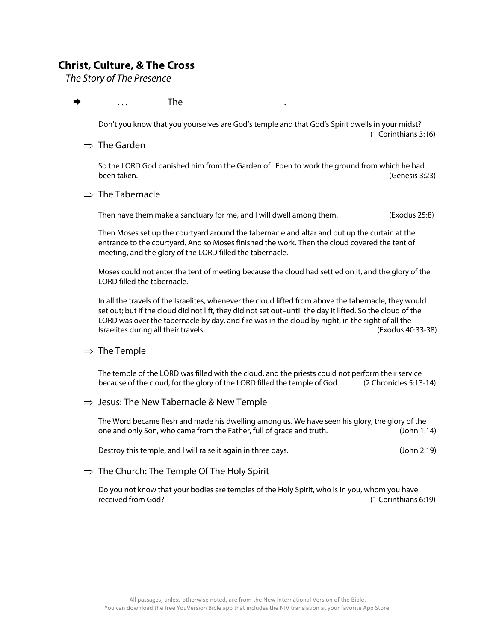### **Christ, Culture, & The Cross**

*The Story of The Presence*

 $\dots$  . . . . The  $\Box$ 

Don't you know that you yourselves are God's temple and that God's Spirit dwells in your midst? (1 Corinthians 3:16)

 $\Rightarrow$  The Garden

So the LORD God banished him from the Garden of Eden to work the ground from which he had been taken. (Genesis 3:23)

#### $\Rightarrow$  The Tabernacle

Then have them make a sanctuary for me, and I will dwell among them. (Exodus 25:8)

Then Moses set up the courtyard around the tabernacle and altar and put up the curtain at the entrance to the courtyard. And so Moses finished the work. Then the cloud covered the tent of meeting, and the glory of the LORD filled the tabernacle.

Moses could not enter the tent of meeting because the cloud had settled on it, and the glory of the LORD filled the tabernacle.

In all the travels of the Israelites, whenever the cloud lifted from above the tabernacle, they would set out; but if the cloud did not lift, they did not set out–until the day it lifted. So the cloud of the LORD was over the tabernacle by day, and fire was in the cloud by night, in the sight of all the Israelites during all their travels. (Exodus 40:33-38)

 $\Rightarrow$  The Temple

The temple of the LORD was filled with the cloud, and the priests could not perform their service because of the cloud, for the glory of the LORD filled the temple of God. (2 Chronicles 5:13-14)

 $\Rightarrow$  Jesus: The New Tabernacle & New Temple

The Word became flesh and made his dwelling among us. We have seen his glory, the glory of the one and only Son, who came from the Father, full of grace and truth. (John 1:14)

Destroy this temple, and I will raise it again in three days. (John 2:19)

 $\Rightarrow$  The Church: The Temple Of The Holy Spirit

Do you not know that your bodies are temples of the Holy Spirit, who is in you, whom you have received from God? (1 Corinthians 6:19)